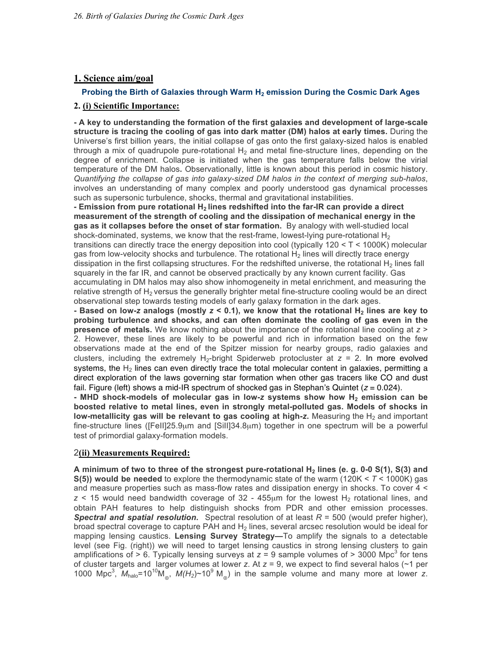## **1. Science aim/goal**

## **Probing the Birth of Galaxies through Warm H<sub>2</sub> emission During the Cosmic Dark Ages**

## **2. (i) Scientific Importance:**

**- A key to understanding the formation of the first galaxies and development of large-scale structure is tracing the cooling of gas into dark matter (DM) halos at early times.** During the Universe's first billion years, the initial collapse of gas onto the first galaxy-sized halos is enabled through a mix of quadrupole pure-rotational  $H_2$  and metal fine-structure lines, depending on the degree of enrichment. Collapse is initiated when the gas temperature falls below the virial temperature of the DM halos**.** Observationally, little is known about this period in cosmic history. *Quantifying the collapse of gas into galaxy-sized DM halos in the context of merging sub-halos*, involves an understanding of many complex and poorly understood gas dynamical processes such as supersonic turbulence, shocks, thermal and gravitational instabilities.

**- Emission from pure rotational H2 lines redshifted into the far-IR can provide a direct measurement of the strength of cooling and the dissipation of mechanical energy in the gas as it collapses before the onset of star formation.** By analogy with well-studied local shock-dominated, systems, we know that the rest-frame, lowest-lying pure-rotational  $H_2$ transitions can directly trace the energy deposition into cool (typically 120 < T < 1000K) molecular gas from low-velocity shocks and turbulence. The rotational  $H_2$  lines will directly trace energy dissipation in the first collapsing structures. For the redshifted universe, the rotational  $H_2$  lines fall squarely in the far IR, and cannot be observed practically by any known current facility. Gas accumulating in DM halos may also show inhomogeneity in metal enrichment, and measuring the relative strength of  $H<sub>2</sub>$  versus the generally brighter metal fine-structure cooling would be an direct observational step towards testing models of early galaxy formation in the dark ages.

**- Based on low-***z* **analogs (mostly** *z* **< 0.1), we know that the rotational H2 lines are key to probing turbulence and shocks, and can often dominate the cooling of gas even in the presence of metals.** We know nothing about the importance of the rotational line cooling at *z* > 2. However, these lines are likely to be powerful and rich in information based on the few observations made at the end of the Spitzer mission for nearby groups, radio galaxies and clusters, including the extremely  $H_2$ -bright Spiderweb protocluster at  $z = 2$ . In more evolved systems, the  $H_2$  lines can even directly trace the total molecular content in galaxies, permitting a direct exploration of the laws governing star formation when other gas tracers like CO and dust fail. Figure (left) shows a mid-IR spectrum of shocked gas in Stephan's Quintet (*z* = 0.024).

**- MHD shock-models of molecular gas in low-***z* **systems show how H2 emission can be boosted relative to metal lines, even in strongly metal-polluted gas. Models of shocks in low-metallicity gas will be relevant to gas cooling at high-z.** Measuring the H<sub>2</sub> and important fine-structure lines ([FeII]25.9µm and [SiII]34.8µm) together in one spectrum will be a powerful test of primordial galaxy-formation models.

## 2**(ii) Measurements Required:**

A minimum of two to three of the strongest pure-rotational H<sub>2</sub> lines (e. g. 0-0 S(1), S(3) and **S(5)) would be needed** to explore the thermodynamic state of the warm (120K < *T* < 1000K) gas and measure properties such as mass-flow rates and dissipation energy in shocks. To cover 4 <  $z <$  15 would need bandwidth coverage of 32 - 455 $\mu$ m for the lowest H<sub>2</sub> rotational lines, and obtain PAH features to help distinguish shocks from PDR and other emission processes. *Spectral and spatial resolution***.** Spectral resolution of at least *R* = 500 (would prefer higher), broad spectral coverage to capture PAH and  $H_2$  lines, several arcsec resolution would be ideal for mapping lensing caustics. **Lensing Survey Strategy—**To amplify the signals to a detectable level (see Fig. (right)) we will need to target lensing caustics in strong lensing clusters to gain amplifications of  $> 6.$  Typically lensing surveys at  $z = 9$  sample volumes of  $> 3000$  Mpc<sup>3</sup> for tens of cluster targets and larger volumes at lower *z*. At *z* = 9, we expect to find several halos (~1 per 1000 Mpc<sup>3</sup>,  $M_{halo}$ =10<sup>10</sup>M<sub>o</sub>,  $M(H_2)$ ~10<sup>9</sup> M<sub>o</sub>) in the sample volume and many more at lower *z*.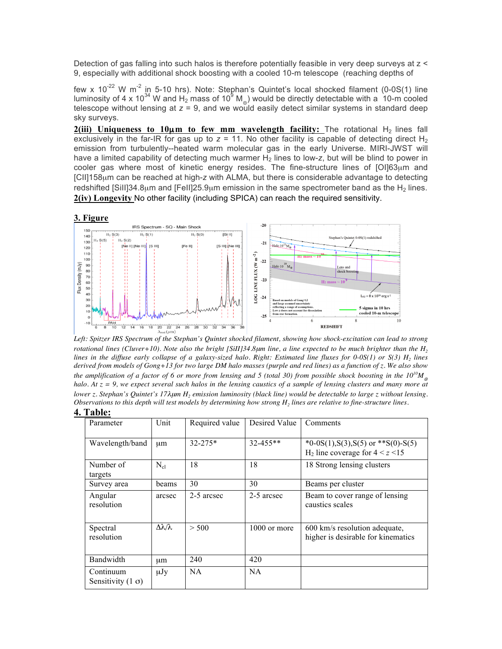Detection of gas falling into such halos is therefore potentially feasible in very deep surveys at z < 9, especially with additional shock boosting with a cooled 10-m telescope (reaching depths of

few x 10<sup>-22</sup> W m<sup>-2</sup> in 5-10 hrs). Note: Stephan's Quintet's local shocked filament (0-0S(1) line luminosity of 4 x 10<sup>34</sup> W and H<sub>2</sub> mass of 10<sup>9</sup> M<sub>o</sub>) would be directly detectable with a 10-m cooled telescope without lensing at  $z = 9$ , and we would easily detect similar systems in standard deep sky surveys.

**2(iii)** Uniqueness to 10 $\mu$ m to few mm wavelength facility: The rotational H<sub>2</sub> lines fall exclusively in the far-IR for gas up to  $z = 11$ . No other facility is capable of detecting direct H<sub>2</sub> emission from turbulently--heated warm molecular gas in the early Universe. MIRI-JWST will have a limited capability of detecting much warmer H<sub>2</sub> lines to low-z, but will be blind to power in cooler gas where most of kinetic energy resides. The fine-structure lines of  $[O$ I $]63\mu$ m and [CII]158µm can be reached at high-*z* with ALMA, but there is considerable advantage to detecting redshifted [Sill]34.8 $\mu$ m and [FeII]25.9 $\mu$ m emission in the same spectrometer band as the H<sub>2</sub> lines. **2(iv) Longevity** No other facility (including SPICA) can reach the required sensitivity.



*Left: Spitzer IRS Spectrum of the Stephan's Quintet shocked filament, showing how shock-excitation can lead to strong rotational lines (Cluver+10). Note also the bright [SiII]34.8µm line, a line expected to be much brighter than the H<sub>2</sub> lines in the diffuse early collapse of a galaxy-sized halo. Right: Estimated line fluxes for 0-0S(1) or S(3) H<sub>2</sub> lines derived from models of Gong+13 for two large DM halo masses (purple and red lines) as a function of z. We also show the amplification of a factor of 6 or more from lensing and 5 (total 30) from possible shock boosting in the*  $10^{10}M_{\odot}$ *halo. At z = 9, we expect several such halos in the lensing caustics of a sample of lensing clusters and many more at lower z. Stephan's Quintet's 17* $\lambda$ *um H<sub>2</sub> emission luminosity (black line) would be detectable to large z without lensing. Observations to this depth will test models by determining how strong*  $H_2$  *lines are relative to fine-structure lines.* **4. Table:**

| 1 aviv.                               |                         |                |               |                                                                                 |  |  |
|---------------------------------------|-------------------------|----------------|---------------|---------------------------------------------------------------------------------|--|--|
| Parameter                             | Unit                    | Required value | Desired Value | Comments                                                                        |  |  |
| Wavelength/band                       | $\mu$ m                 | $32 - 275*$    | $32 - 455$ ** | *0-0S(1), S(3), S(5) or **S(0)-S(5)<br>$H_2$ line coverage for $4 \le z \le 15$ |  |  |
| Number of<br>targets                  | $N_{cl}$                | 18             | 18            | 18 Strong lensing clusters                                                      |  |  |
| Survey area                           | beams                   | 30             | 30            | Beams per cluster                                                               |  |  |
| Angular<br>resolution                 | arcsec                  | 2-5 arcsec     | 2-5 arcsec    | Beam to cover range of lensing<br>caustics scales                               |  |  |
| Spectral<br>resolution                | $\Delta\lambda/\lambda$ | > 500          | 1000 or more  | 600 km/s resolution adequate,<br>higher is desirable for kinematics             |  |  |
| Bandwidth                             | μm                      | 240            | 420           |                                                                                 |  |  |
| Continuum<br>Sensitivity $(1 \sigma)$ | $\mu Jy$                | NA             | <b>NA</b>     |                                                                                 |  |  |